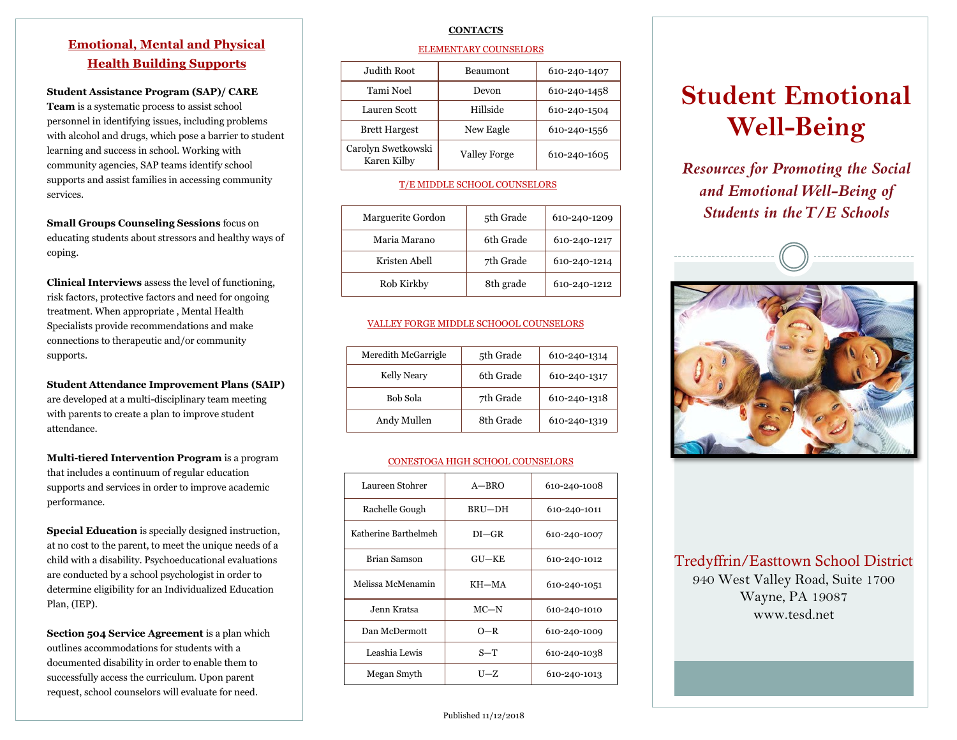# **Emotional, Mental and Physical Health Building Supports**

**Student Assistance Program (SAP)/ CARE** 

**Team** is a systematic process to assist school personnel in identifying issues, including problems with alcohol and drugs, which pose a barrier to student learning and success in school. Working with community agencies, SAP teams identify school supports and assist families in accessing community services.

**Small Groups Counseling Sessions** focus on educating students about stressors and healthy ways of coping.

**Clinical Interviews** assess the level of functioning, risk factors, protective factors and need for ongoing treatment. When appropriate , Mental Health Specialists provide recommendations and make connections to therapeutic and/or community supports.

**Student Attendance Improvement Plans (SAIP)**  are developed at a multi-disciplinary team meeting with parents to create a plan to improve student attendance.

**Multi-tiered Intervention Program** is a program that includes a continuum of regular education supports and services in order to improve academic performance.

**Special Education** is specially designed instruction, at no cost to the parent, to meet the unique needs of a child with a disability. Psychoeducational evaluations are conducted by a school psychologist in order to determine eligibility for an Individualized Education Plan, (IEP).

**Section 504 Service Agreement** is a plan which outlines accommodations for students with a documented disability in order to enable them to successfully access the curriculum. Upon parent request, school counselors will evaluate for need.

# **CONTACTS**

## ELEMENTARY COUNSELORS

| Judith Root                       | Beaumont            | 610-240-1407 |
|-----------------------------------|---------------------|--------------|
| Tami Noel                         | Devon               | 610-240-1458 |
| Lauren Scott                      | Hillside            | 610-240-1504 |
| <b>Brett Hargest</b>              | New Eagle           | 610-240-1556 |
| Carolyn Swetkowski<br>Karen Kilby | <b>Valley Forge</b> | 610-240-1605 |

# T/E MIDDLE SCHOOL COUNSELORS

| Marguerite Gordon | 5th Grade | 610-240-1209 |
|-------------------|-----------|--------------|
| Maria Marano      | 6th Grade | 610-240-1217 |
| Kristen Abell     | 7th Grade | 610-240-1214 |
| Rob Kirkby        | 8th grade | 610-240-1212 |

## VALLEY FORGE MIDDLE SCHOOOL COUNSELORS

| Meredith McGarrigle | 5th Grade | 610-240-1314 |
|---------------------|-----------|--------------|
| Kelly Neary         | 6th Grade | 610-240-1317 |
| Bob Sola            | 7th Grade | 610-240-1318 |
| Andy Mullen         | 8th Grade | 610-240-1319 |

# CONESTOGA HIGH SCHOOL COUNSELORS

| Laureen Stohrer      | $A - BRO$    | 610-240-1008 |
|----------------------|--------------|--------------|
| Rachelle Gough       | BRU-DH       | 610-240-1011 |
| Katherine Barthelmeh | $DI - GR$    | 610-240-1007 |
| <b>Brian Samson</b>  | <b>GU-KE</b> | 610-240-1012 |
| Melissa McMenamin    | KH-MA        | 610-240-1051 |
| Jenn Kratsa          | $MC-N$       | 610-240-1010 |
| Dan McDermott        | $O-R$        | 610-240-1009 |
| Leashia Lewis        | S—T          | 610-240-1038 |
| Megan Smyth          | U-Z          | 610-240-1013 |

# **Student Emotional Well-Being**

*Resources for Promoting the Social and Emotional Well-Being of Students in the T/E Schools*



Tredyffrin/Easttown School District 940 West Valley Road, Suite 1700 Wayne, PA 19087 www.tesd.net